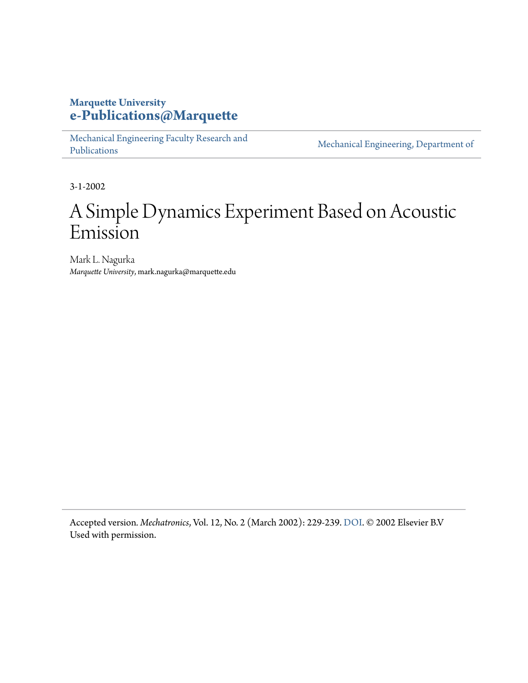# **Marquette University [e-Publications@Marquette](https://epublications.marquette.edu)**

[Mechanical Engineering Faculty Research and](https://epublications.marquette.edu/mechengin_fac) [Publications](https://epublications.marquette.edu/mechengin_fac)

[Mechanical Engineering, Department of](https://epublications.marquette.edu/mechengin)

3-1-2002

# A Simple Dynamics Experiment Based on Acoustic Emission

Mark L. Nagurka *Marquette University*, mark.nagurka@marquette.edu

Accepted version*. Mechatronics*, Vol. 12, No. 2 (March 2002): 229-239. [DOI](https://doi.org/10.1016/S0957-4158(01)00063-0). © 2002 Elsevier B.V Used with permission.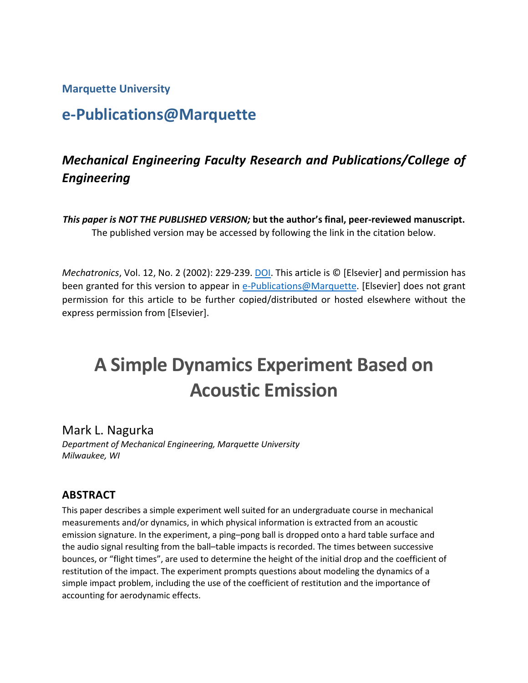**Marquette University**

# **e-Publications@Marquette**

# *Mechanical Engineering Faculty Research and Publications/College of Engineering*

*This paper is NOT THE PUBLISHED VERSION;* **but the author's final, peer-reviewed manuscript.**  The published version may be accessed by following the link in the citation below.

*Mechatronics*, Vol. 12, No. 2 (2002): 229-239. [DOI.](https://www.sciencedirect.com/science/article/pii/S0957415801000630?via%3Dihub) This article is © [Elsevier] and permission has been granted for this version to appear in [e-Publications@Marquette.](http://epublications.marquette.edu/) [Elsevier] does not grant permission for this article to be further copied/distributed or hosted elsewhere without the express permission from [Elsevier].

# **A Simple Dynamics Experiment Based on Acoustic Emission**

Mark L. Nagurka

*Department of Mechanical Engineering, Marquette University Milwaukee, WI*

## **ABSTRACT**

This paper describes a simple experiment well suited for an undergraduate course in mechanical measurements and/or dynamics, in which physical information is extracted from an acoustic emission signature. In the experiment, a ping–pong ball is dropped onto a hard table surface and the audio signal resulting from the ball–table impacts is recorded. The times between successive bounces, or "flight times", are used to determine the height of the initial drop and the coefficient of restitution of the impact. The experiment prompts questions about modeling the dynamics of a simple impact problem, including the use of the coefficient of restitution and the importance of accounting for aerodynamic effects.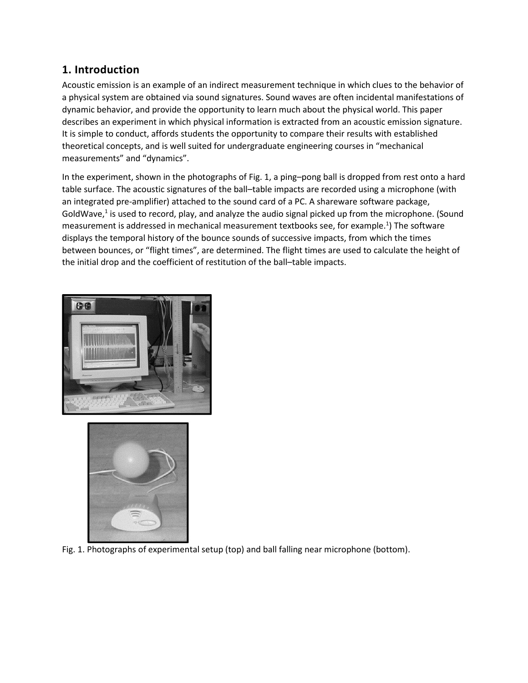#### **1. Introduction**

Acoustic emission is an example of an indirect measurement technique in which clues to the behavior of a physical system are obtained via sound signatures. Sound waves are often incidental manifestations of dynamic behavior, and provide the opportunity to learn much about the physical world. This paper describes an experiment in which physical information is extracted from an acoustic emission signature. It is simple to conduct, affords students the opportunity to compare their results with established theoretical concepts, and is well suited for undergraduate engineering courses in "mechanical measurements" and "dynamics".

In the experiment, shown in the photographs of Fig. 1, a ping–pong ball is dropped from rest onto a hard table surface. The acoustic signatures of the ball–table impacts are recorded using a microphone (with an integrated pre-amplifier) attached to the sound card of a PC. A shareware software package, GoldWave, $1$  is used to record, play, and analyze the audio signal picked up from the microphone. (Sound measurement is addressed in mechanical measurement textbooks see, for example.<sup>1</sup>) The software displays the temporal history of the bounce sounds of successive impacts, from which the times between bounces, or "flight times", are determined. The flight times are used to calculate the height of the initial drop and the coefficient of restitution of the ball–table impacts.





Fig. 1. Photographs of experimental setup (top) and ball falling near microphone (bottom).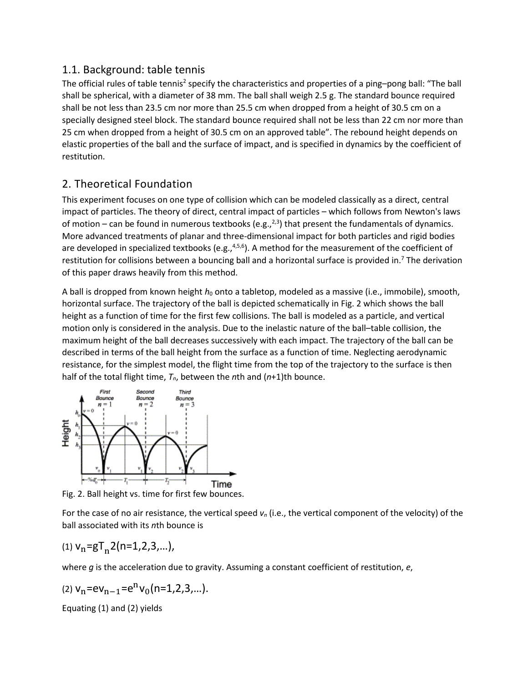#### 1.1. Background: table tennis

The official rules of table tennis<sup>2</sup> specify the characteristics and properties of a ping–pong ball: "The ball shall be spherical, with a diameter of 38 mm. The ball shall weigh 2.5 g. The standard bounce required shall be not less than 23.5 cm nor more than 25.5 cm when dropped from a height of 30.5 cm on a specially designed steel block. The standard bounce required shall not be less than 22 cm nor more than 25 cm when dropped from a height of 30.5 cm on an approved table". The rebound height depends on elastic properties of the ball and the surface of impact, and is specified in dynamics by the coefficient of restitution.

## 2. Theoretical Foundation

This experiment focuses on one type of collision which can be modeled classically as a direct, central impact of particles. The theory of direct, central impact of particles – which follows from Newton's laws of motion – can be found in numerous textbooks (e.g.,  $2,3$ ) that present the fundamentals of dynamics. More advanced treatments of planar and three-dimensional impact for both particles and rigid bodies are developed in specialized textbooks (e.g.,<sup>4,5,6</sup>). A method for the measurement of the coefficient of restitution for collisions between a bouncing ball and a horizontal surface is provided in.<sup>7</sup> The derivation of this paper draws heavily from this method.

A ball is dropped from known height *h*<sub>0</sub> onto a tabletop, modeled as a massive (i.e., immobile), smooth, horizontal surface. The trajectory of the ball is depicted schematically in Fig. 2 which shows the ball height as a function of time for the first few collisions. The ball is modeled as a particle, and vertical motion only is considered in the analysis. Due to the inelastic nature of the ball–table collision, the maximum height of the ball decreases successively with each impact. The trajectory of the ball can be described in terms of the ball height from the surface as a function of time. Neglecting aerodynamic resistance, for the simplest model, the flight time from the top of the trajectory to the surface is then half of the total flight time, *Tn*, between the *n*th and (*n*+1)th bounce.



Fig. 2. Ball height vs. time for first few bounces.

For the case of no air resistance, the vertical speed *vn* (i.e., the vertical component of the velocity) of the ball associated with its *n*th bounce is

$$
(1) vn=gTn2(n=1,2,3,...),
$$

where *g* is the acceleration due to gravity. Assuming a constant coefficient of restitution, *e*,

$$
\text{(2) } \mathsf{v}_n = \mathsf{ev}_{n-1} = \mathsf{e}^{\mathsf{n}} \mathsf{v}_0 \big( \mathsf{n} = 1, 2, 3, \ldots \big).
$$

Equating [\(1\)](https://www.sciencedirect.com/science/article/pii/S0957415801000630?via%3Dihub#FD1) and [\(2\)](https://www.sciencedirect.com/science/article/pii/S0957415801000630?via%3Dihub#FD2) yields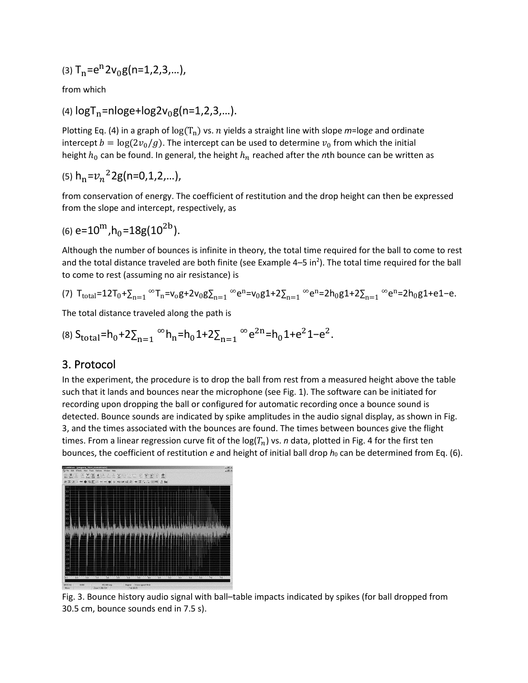$$
(3) Tn=en2v0g(n=1,2,3,...),
$$

from which

(4)  $logT_n = nloge + log2v_0g(n=1,2,3,...).$ 

Plotting Eq. (4) in a graph of  $log(T_n)$  vs. *n* yields a straight line with slope *m*=loge and ordinate intercept  $b = \log(2v_0/g)$ . The intercept can be used to determine  $v_0$  from which the initial height  $h_0$  can be found. In general, the height  $h_n$  reached after the *n*th bounce can be written as

$$
(5) h_n = v_n^2 2g(n=0,1,2,...),
$$

from conservation of energy. The coefficient of restitution and the drop height can then be expressed from the slope and intercept, respectively, as

$$
(6) e=10^{\mathrm{m}}, h_0=18g(10^{2b}).
$$

Although the number of bounces is infinite in theory, the total time required for the ball to come to rest and the total distance traveled are both finite (see Example 4–5 in<sup>2</sup>). The total time required for the ball to come to rest (assuming no air resistance) is

$$
\text{(7) } T_{total} = 12T_0 + \sum_{n=1}^{\infty} T_n = v_0 g + 2v_0 g \sum_{n=1}^{\infty} e^n = v_0 g 1 + 2 \sum_{n=1}^{\infty} e^n = 2h_0 g 1 + 2 \sum_{n=1}^{\infty} e^n = 2h_0 g 1 + e 1 - e.
$$

The total distance traveled along the path is

$$
\text{(8) } S_{\text{total}} = h_0 + 2 \sum_{n=1}^{\infty} h_n = h_0 1 + 2 \sum_{n=1}^{\infty} e^{2n} = h_0 1 + e^2 1 - e^2.
$$

#### 3. Protocol

In the experiment, the procedure is to drop the ball from rest from a measured height above the table such that it lands and bounces near the microphone (see Fig. 1). The software can be initiated for recording upon dropping the ball or configured for automatic recording once a bounce sound is detected. Bounce sounds are indicated by spike amplitudes in the audio signal display, as shown in Fig. 3, and the times associated with the bounces are found. The times between bounces give the flight times. From a linear regression curve fit of the  $log(T_n)$  vs. *n* data, plotted in Fig. 4 for the first ten bounces, the coefficient of restitution  $e$  and height of initial ball drop  $h_0$  can be determined from Eq. (6).



Fig. 3. Bounce history [audio signal](https://www.sciencedirect.com/topics/engineering/audio-signal) with ball–table impacts indicated by spikes (for ball dropped from 30.5 cm, bounce sounds end in 7.5 s).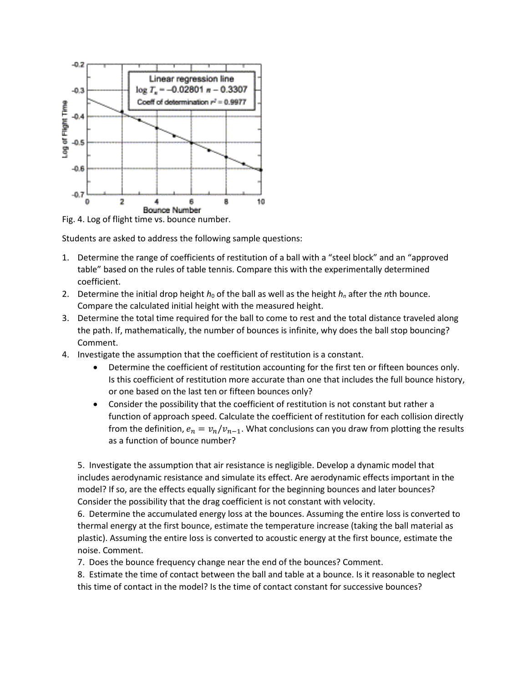

Fig. 4. Log of flight time vs. bounce number.

Students are asked to address the following sample questions:

- 1. Determine the range of coefficients of restitution of a ball with a "steel block" and an "approved table" based on the rules of table tennis. Compare this with the experimentally determined coefficient.
- 2. Determine the initial drop height  $h_0$  of the ball as well as the height  $h_n$  after the *n*th bounce. Compare the calculated initial height with the measured height.
- 3. Determine the total time required for the ball to come to rest and the total distance traveled along the path. If, mathematically, the number of bounces is infinite, why does the ball stop bouncing? Comment.
- 4. Investigate the assumption that the coefficient of restitution is a constant.
	- Determine the coefficient of restitution accounting for the first ten or fifteen bounces only. Is this coefficient of restitution more accurate than one that includes the full bounce history, or one based on the last ten or fifteen bounces only?
	- Consider the possibility that the coefficient of restitution is not constant but rather a function of approach speed. Calculate the coefficient of restitution for each collision directly from the definition,  $e_n = v_n/v_{n-1}$ . What conclusions can you draw from plotting the results as a function of bounce number?

5. Investigate the assumption that air resistance is negligible. Develop a dynamic model that includes aerodynamic resistance and simulate its effect. Are aerodynamic effects important in the model? If so, are the effects equally significant for the beginning bounces and later bounces? Consider the possibility that the drag coefficient is not constant with velocity.

6. Determine the accumulated energy loss at the bounces. Assuming the entire loss is converted to thermal energy at the first bounce, estimate the temperature increase (taking the ball material as plastic). Assuming the entire loss is converted to acoustic energy at the first bounce, estimate the noise. Comment.

7. Does the bounce frequency change near the end of the bounces? Comment.

8. Estimate the time of contact between the ball and table at a bounce. Is it reasonable to neglect this time of contact in the model? Is the time of contact constant for successive bounces?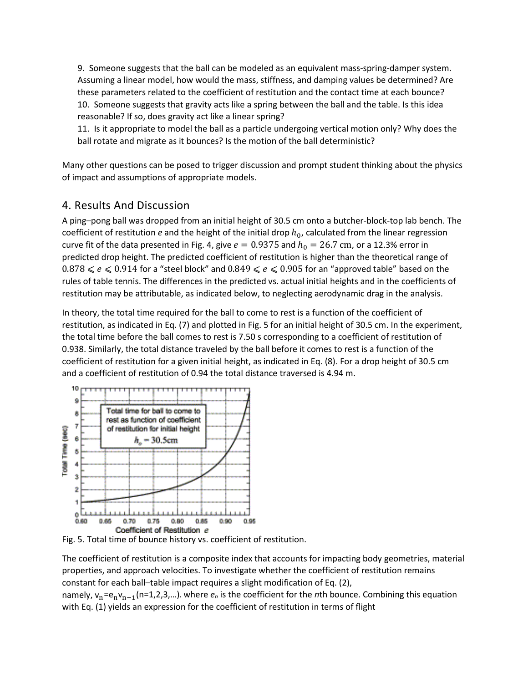9. Someone suggests that the ball can be modeled as an equivalent mass-spring-damper system. Assuming a linear model, how would the mass, stiffness, and damping values be determined? Are these parameters related to the coefficient of restitution and the contact time at each bounce? 10. Someone suggests that gravity acts like a spring between the ball and the table. Is this idea reasonable? If so, does gravity act like a linear spring?

11. Is it appropriate to model the ball as a particle undergoing vertical motion only? Why does the ball rotate and migrate as it bounces? Is the motion of the ball deterministic?

Many other questions can be posed to trigger discussion and prompt student thinking about the physics of impact and assumptions of appropriate models.

## 4. Results And Discussion

A ping–pong ball was dropped from an initial height of 30.5 cm onto a butcher-block-top lab bench. The coefficient of restitution *e* and the height of the initial drop  $h_0$ , calculated from the linear regression curve fit of the data presented in Fig. 4, give  $e = 0.9375$  and  $h_0 = 26.7$  cm, or a 12.3% error in predicted drop height. The predicted coefficient of restitution is higher than the theoretical range of  $0.878 \leqslant e \leqslant 0.914$  for a "steel block" and  $0.849 \leqslant e \leqslant 0.905$  for an "approved table" based on the rules of table tennis. The differences in the predicted vs. actual initial heights and in the coefficients of restitution may be attributable, as indicated below, to neglecting aerodynamic drag in the analysis.

In theory, the total time required for the ball to come to rest is a function of the coefficient of restitution, as indicated in Eq. (7) and plotted in Fig. 5 for an initial height of 30.5 cm. In the experiment, the total time before the ball comes to rest is 7.50 s corresponding to a coefficient of restitution of 0.938. Similarly, the total distance traveled by the ball before it comes to rest is a function of the coefficient of restitution for a given initial height, as indicated in Eq. (8). For a drop height of 30.5 cm and a coefficient of restitution of 0.94 the total distance traversed is 4.94 m.



Fig. 5. Total time of bounce history vs. coefficient of restitution.

The coefficient of restitution is a composite index that accounts for impacting body geometries, material properties, and approach velocities. To investigate whether the coefficient of restitution remains constant for each ball–table impact requires a slight modification of Eq. (2), namely, v<sub>n</sub>=e<sub>n</sub>v<sub>n−1</sub>(n=1,2,3,...). where  $e_n$  is the coefficient for the *n*th bounce. Combining this equation with Eq. (1) yields an expression for the coefficient of restitution in terms of flight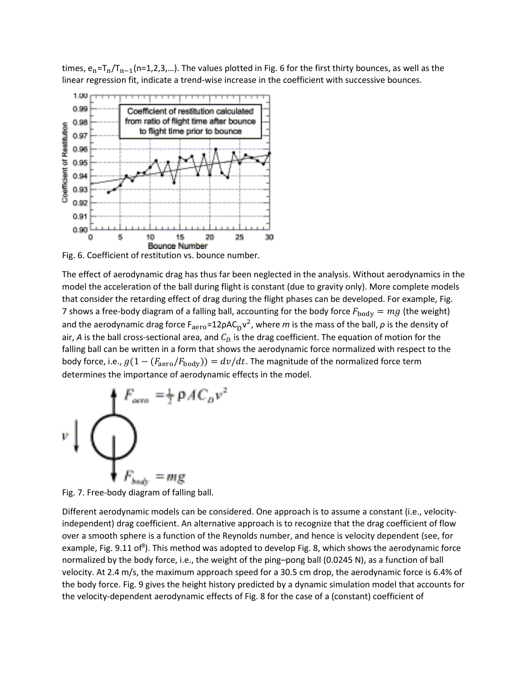times,  $e_n = T_n/T_{n-1}(n=1,2,3,...)$ . The values plotted in Fig. 6 for the first thirty bounces, as well as the linear regression fit, indicate a trend-wise increase in the coefficient with successive bounces.



Fig. 6. Coefficient of restitution vs. bounce number.

The effect of aerodynamic drag has thus far been neglected in the analysis. Without aerodynamics in the model the acceleration of the ball during flight is constant (due to gravity only). More complete models that consider the retarding effect of drag during the flight phases can be developed. For example, Fig. 7 shows a free-body diagram of a falling ball, accounting for the body force  $F_{\text{body}} = mg$  (the weight) and the aerodynamic drag force  $F_{\text{aero}} = 12 \rho A C_D v^2$ , where *m* is the mass of the ball,  $\rho$  is the density of air, A is the ball cross-sectional area, and  $C<sub>D</sub>$  is the drag coefficient. The equation of motion for the falling ball can be written in a form that shows the aerodynamic force normalized with respect to the body force, i.e.,  $g(1 - (F_{\text{aero}}/F_{\text{body}})) = dv/dt$ . The magnitude of the normalized force term determines the importance of aerodynamic effects in the model.



Fig. 7. Free-body diagram of falling ball.

Different aerodynamic models can be considered. One approach is to assume a constant (i.e., velocityindependent) drag coefficient. An alternative approach is to recognize that the drag coefficient of flow over a smooth sphere is a function of the Reynolds number, and hence is velocity dependent (see, for example, Fig. 9.11 of<sup>8</sup>). This method was adopted to develop Fig. 8, which shows the aerodynamic force normalized by the body force, i.e., the weight of the ping–pong ball (0.0245 N), as a function of ball velocity. At 2.4 m/s, the maximum approach speed for a 30.5 cm drop, the aerodynamic force is 6.4% of the body force. Fig. 9 gives the height history predicted by a dynamic simulation model that accounts for the velocity-dependent aerodynamic effects of Fig. 8 for the case of a (constant) coefficient of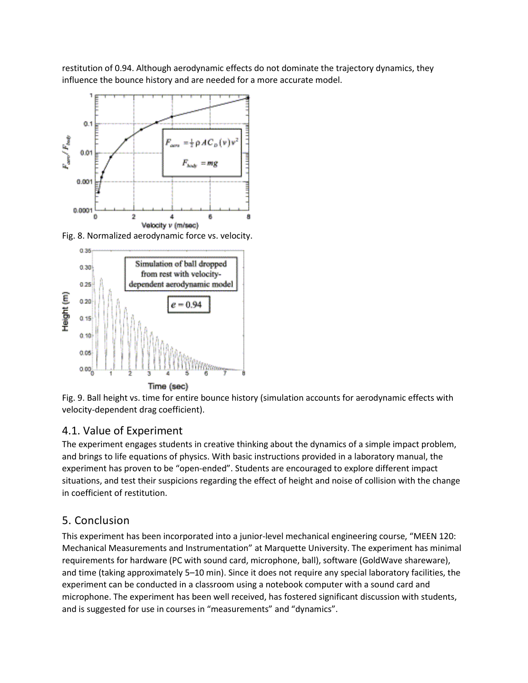restitution of 0.94. Although aerodynamic effects do not dominate the trajectory dynamics, they influence the bounce history and are needed for a more accurate model.



Fig. 8. Normalized aerodynamic force vs. velocity.



Fig. 9. Ball height vs. time for entire bounce history (simulation accounts for aerodynamic effects with velocity-dependent drag coefficient).

## 4.1. Value of Experiment

The experiment engages students in creative thinking about the dynamics of a simple impact problem, and brings to life equations of physics. With basic instructions provided in a laboratory manual, the experiment has proven to be "open-ended". Students are encouraged to explore different impact situations, and test their suspicions regarding the effect of height and noise of collision with the change in coefficient of restitution.

## 5. Conclusion

This experiment has been incorporated into a junior-level mechanical engineering course, "MEEN 120: Mechanical Measurements and Instrumentation" at Marquette University. The experiment has minimal requirements for hardware (PC with sound card, microphone, ball), software (GoldWave shareware), and time (taking approximately 5–10 min). Since it does not require any special laboratory facilities, the experiment can be conducted in a classroom using a notebook computer with a sound card and microphone. The experiment has been well received, has fostered significant discussion with students, and is suggested for use in courses in "measurements" and "dynamics".